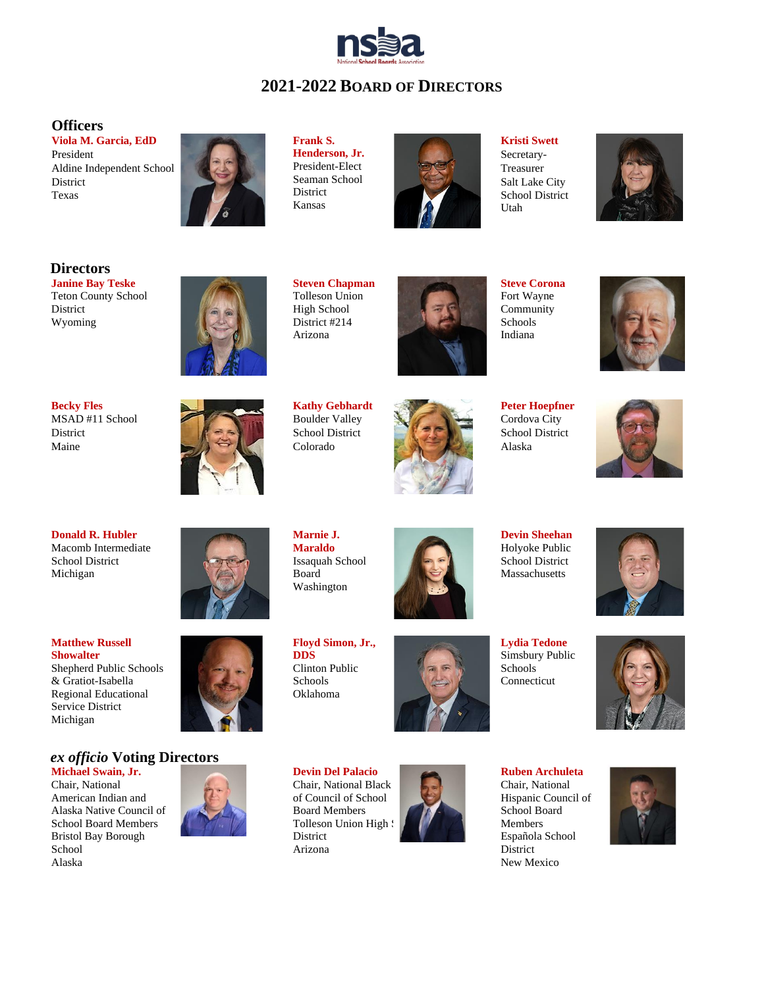

# **2021-2022 BOARD OF DIRECTORS**

#### **Officers**

**Viola M. Garcia, EdD** President Aldine Independent School **District** Texas



**Frank S. Henderson, Jr.** President-Elect Seaman School District Kansas



**Kristi Swett** Secretary-Treasurer Salt Lake City School District Utah



#### **Directors**

**Janine Bay Teske**  Teton County School District Wyoming



**Steven Chapman** Tolleson Union High School District #214 Arizona



**Steve Corona**  Fort Wayne Community Schools Indiana



**Becky Fles**  MSAD #11 School **District** Maine



**Kathy Gebhardt**  Boulder Valley School District Colorado



**Peter Hoepfner**  Cordova City School District Alaska



**Donald R. Hubler**  Macomb Intermediate School District Michigan

**Matthew Russell Showalter** Shepherd Public Schools & Gratiot-Isabella Regional Educational Service District Michigan

### *ex officio* **Voting Directors**

**Michael Swain, Jr.** Chair, National American Indian and Alaska Native Council of School Board Members Bristol Bay Borough School Alaska



**Marnie J. Maraldo**  Issaquah School Board Washington



**Devin Sheehan**  Holyoke Public School District Massachusetts

**Lydia Tedone**  Simsbury Public Schools Connecticut





**Ruben Archuleta**  Chair, National Hispanic Council of School Board Members Española School District New Mexico





**Floyd Simon, Jr., DDS** Clinton Public

Tolleson Union High S

Schools Oklahoma

District Arizona



**Devin Del Palacio** Chair, National Black of Council of School Board Members